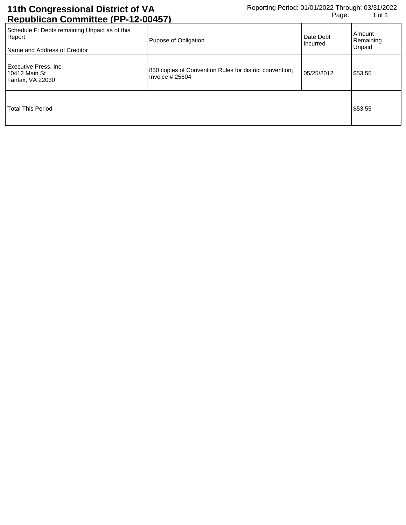## **11th Congressional District of VA Republican Committee (PP-12-00457)**

| Schedule F: Debts remaining Unpaid as of this<br>Report<br>Name and Address of Creditor | Pupose of Obligation                                                        | Date Debt<br>Incurred | Amount<br>Remaining<br>Unpaid |
|-----------------------------------------------------------------------------------------|-----------------------------------------------------------------------------|-----------------------|-------------------------------|
| Executive Press, Inc.<br>10412 Main St<br>Fairfax, VA 22030                             | 850 copies of Convention Rules for district convention;<br>Invoice $#25604$ | 05/25/2012            | \$53.55                       |
| <b>Total This Period</b>                                                                |                                                                             |                       | \$53.55                       |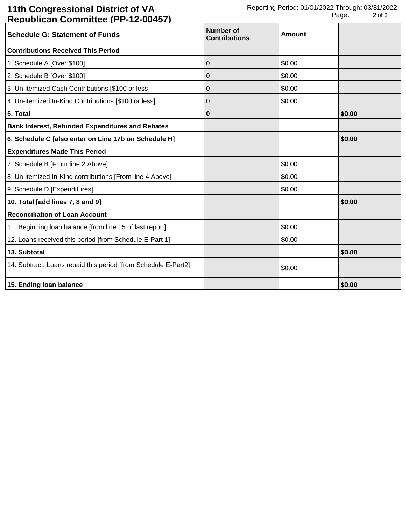## **11th Congressional District of VA Republican Committee (PP-12-00457)**

| <b>Schedule G: Statement of Funds</b>                          | Number of<br><b>Contributions</b> | Amount |        |
|----------------------------------------------------------------|-----------------------------------|--------|--------|
| <b>Contributions Received This Period</b>                      |                                   |        |        |
| 1. Schedule A [Over \$100]                                     | 0                                 | \$0.00 |        |
| 2. Schedule B [Over \$100]                                     | 0                                 | \$0.00 |        |
| 3. Un-itemized Cash Contributions [\$100 or less]              | 0                                 | \$0.00 |        |
| 4. Un-itemized In-Kind Contributions [\$100 or less]           | 0                                 | \$0.00 |        |
| 5. Total                                                       | 0                                 |        | \$0.00 |
| <b>Bank Interest, Refunded Expenditures and Rebates</b>        |                                   |        |        |
| 6. Schedule C [also enter on Line 17b on Schedule H]           |                                   |        | \$0.00 |
| <b>Expenditures Made This Period</b>                           |                                   |        |        |
| 7. Schedule B [From line 2 Above]                              |                                   | \$0.00 |        |
| 8. Un-itemized In-Kind contributions [From line 4 Above]       |                                   | \$0.00 |        |
| 9. Schedule D [Expenditures]                                   |                                   | \$0.00 |        |
| 10. Total [add lines 7, 8 and 9]                               |                                   |        | \$0.00 |
| <b>Reconciliation of Loan Account</b>                          |                                   |        |        |
| 11. Beginning loan balance [from line 15 of last report]       |                                   | \$0.00 |        |
| 12. Loans received this period [from Schedule E-Part 1]        |                                   | \$0.00 |        |
| 13. Subtotal                                                   |                                   |        | \$0.00 |
| 14. Subtract: Loans repaid this period [from Schedule E-Part2] |                                   | \$0.00 |        |
| 15. Ending loan balance                                        |                                   |        | \$0.00 |